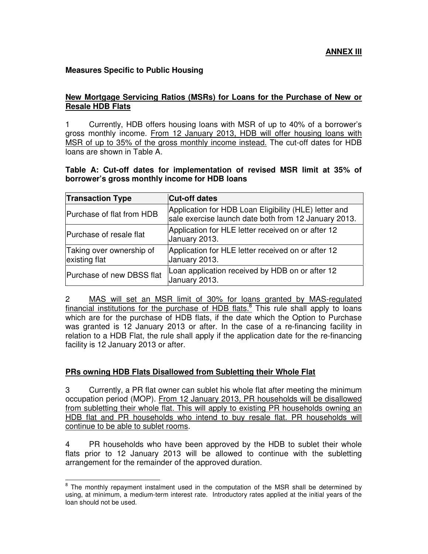## **Measures Specific to Public Housing**

## **New Mortgage Servicing Ratios (MSRs) for Loans for the Purchase of New or Resale HDB Flats**

1 Currently, HDB offers housing loans with MSR of up to 40% of a borrower's gross monthly income. From 12 January 2013, HDB will offer housing loans with MSR of up to 35% of the gross monthly income instead. The cut-off dates for HDB loans are shown in Table A.

## **Table A: Cut-off dates for implementation of revised MSR limit at 35% of borrower's gross monthly income for HDB loans**

| <b>Transaction Type</b>                   | <b>Cut-off dates</b>                                                                                          |
|-------------------------------------------|---------------------------------------------------------------------------------------------------------------|
| Purchase of flat from HDB                 | Application for HDB Loan Eligibility (HLE) letter and<br>sale exercise launch date both from 12 January 2013. |
| Purchase of resale flat                   | Application for HLE letter received on or after 12<br>January 2013.                                           |
| Taking over ownership of<br>existing flat | Application for HLE letter received on or after 12<br>January 2013.                                           |
| Purchase of new DBSS flat                 | Loan application received by HDB on or after 12<br>January 2013.                                              |

2 MAS will set an MSR limit of 30% for loans granted by MAS-regulated financial institutions for the purchase of HDB flats.<sup>8</sup> This rule shall apply to loans which are for the purchase of HDB flats, if the date which the Option to Purchase was granted is 12 January 2013 or after. In the case of a re-financing facility in relation to a HDB Flat, the rule shall apply if the application date for the re-financing facility is 12 January 2013 or after.

## **PRs owning HDB Flats Disallowed from Subletting their Whole Flat**

 $\overline{a}$ 

3 Currently, a PR flat owner can sublet his whole flat after meeting the minimum occupation period (MOP). From 12 January 2013, PR households will be disallowed from subletting their whole flat. This will apply to existing PR households owning an HDB flat and PR households who intend to buy resale flat. PR households will continue to be able to sublet rooms.

4 PR households who have been approved by the HDB to sublet their whole flats prior to 12 January 2013 will be allowed to continue with the subletting arrangement for the remainder of the approved duration.

<sup>&</sup>lt;sup>8</sup> The monthly repayment instalment used in the computation of the MSR shall be determined by using, at minimum, a medium-term interest rate. Introductory rates applied at the initial years of the loan should not be used.